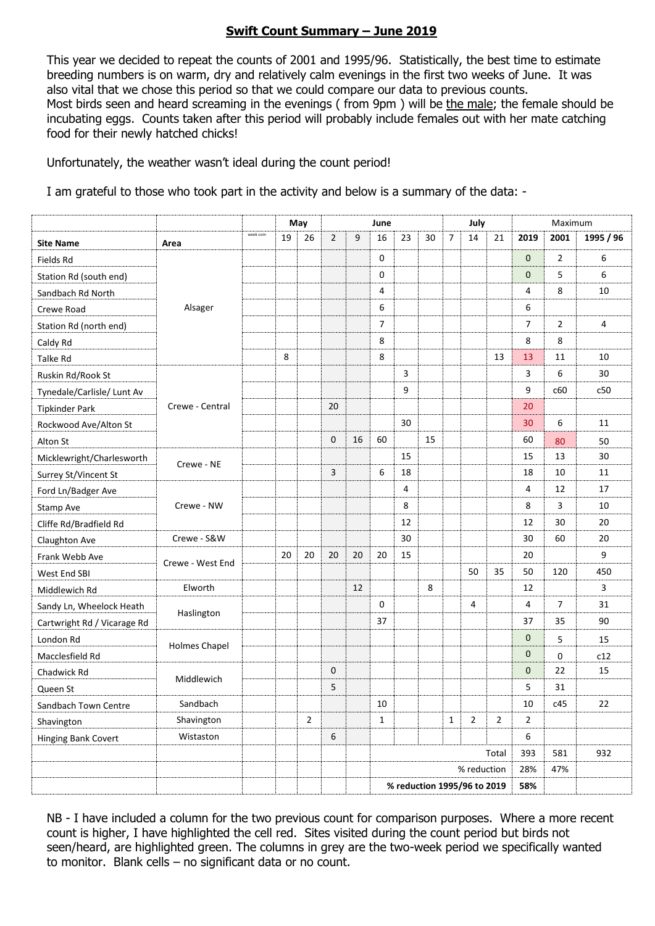## **Swift Count Summary – June 2019**

This year we decided to repeat the counts of 2001 and 1995/96. Statistically, the best time to estimate breeding numbers is on warm, dry and relatively calm evenings in the first two weeks of June. It was also vital that we chose this period so that we could compare our data to previous counts. Most birds seen and heard screaming in the evenings ( from 9pm ) will be the male; the female should be incubating eggs. Counts taken after this period will probably include females out with her mate catching food for their newly hatched chicks!

Unfortunately, the weather wasn't ideal during the count period!

I am grateful to those who took part in the activity and below is a summary of the data: -

|                             |                  |          |    | May            | June           |    |                |    |    | July           |                             |                | Maximum        |                |           |
|-----------------------------|------------------|----------|----|----------------|----------------|----|----------------|----|----|----------------|-----------------------------|----------------|----------------|----------------|-----------|
| <b>Site Name</b>            | Area             | week com | 19 | 26             | $\overline{2}$ | 9  | 16             | 23 | 30 | $\overline{7}$ | 14                          | 21             | 2019           | 2001           | 1995 / 96 |
| Fields Rd                   | Alsager          |          |    |                |                |    | $\mathbf 0$    |    |    |                |                             |                | $\mathbf{0}$   | $\overline{2}$ | 6         |
| Station Rd (south end)      |                  |          |    |                |                |    | $\mathbf 0$    |    |    |                |                             |                | $\mathbf{0}$   | 5              | 6         |
| Sandbach Rd North           |                  |          |    |                |                |    | 4              |    |    |                |                             |                | 4              | 8              | 10        |
| Crewe Road                  |                  |          |    |                |                |    | 6              |    |    |                |                             |                | 6              |                |           |
| Station Rd (north end)      |                  |          |    |                |                |    | $\overline{7}$ |    |    |                |                             |                | $\overline{7}$ | $\overline{2}$ | 4         |
| Caldy Rd                    |                  |          |    |                |                |    | 8              |    |    |                |                             |                | 8              | 8              |           |
| Talke Rd                    |                  |          | 8  |                |                |    | 8              |    |    |                |                             | 13             | 13             | 11             | 10        |
| Ruskin Rd/Rook St           | Crewe - Central  |          |    |                |                |    |                | 3  |    |                |                             |                | 3              | 6              | 30        |
| Tynedale/Carlisle/ Lunt Av  |                  |          |    |                |                |    |                | 9  |    |                |                             |                | 9              | c60            | c50       |
| <b>Tipkinder Park</b>       |                  |          |    |                | 20             |    |                |    |    |                |                             |                | 20             |                |           |
| Rockwood Ave/Alton St       |                  |          |    |                |                |    |                | 30 |    |                |                             |                | 30             | 6              | 11        |
| Alton St                    |                  |          |    |                | $\mathbf 0$    | 16 | 60             |    | 15 |                |                             |                | 60             | 80             | 50        |
| Micklewright/Charlesworth   | Crewe - NE       |          |    |                |                |    |                | 15 |    |                |                             |                | 15             | 13             | 30        |
| Surrey St/Vincent St        |                  |          |    |                | 3              |    | 6              | 18 |    |                |                             |                | 18             | 10             | 11        |
| Ford Ln/Badger Ave          | Crewe - NW       |          |    |                |                |    |                | 4  |    |                |                             |                | 4              | 12             | 17        |
| Stamp Ave                   |                  |          |    |                |                |    |                | 8  |    |                |                             |                | 8              | 3              | 10        |
| Cliffe Rd/Bradfield Rd      |                  |          |    |                |                |    |                | 12 |    |                |                             |                | 12             | 30             | 20        |
| Claughton Ave               | Crewe - S&W      |          |    |                |                |    |                | 30 |    |                |                             |                | 30             | 60             | 20        |
| Frank Webb Ave              | Crewe - West End |          | 20 | 20             | 20             | 20 | 20             | 15 |    |                |                             |                | 20             |                | 9         |
| West End SBI                |                  |          |    |                |                |    |                |    |    |                | 50                          | 35             | 50             | 120            | 450       |
| Middlewich Rd               | Elworth          |          |    |                |                | 12 |                |    | 8  |                |                             |                | 12             |                | 3         |
| Sandy Ln, Wheelock Heath    | Haslington       |          |    |                |                |    | 0              |    |    |                | 4                           |                | 4              | 7              | 31        |
| Cartwright Rd / Vicarage Rd |                  |          |    |                |                |    | 37             |    |    |                |                             |                | 37             | 35             | 90        |
| London Rd                   | Holmes Chapel    |          |    |                |                |    |                |    |    |                |                             |                | 0              | 5              | 15        |
| Macclesfield Rd             |                  |          |    |                |                |    |                |    |    |                |                             |                | $\mathbf{0}$   | 0              | c12       |
| Chadwick Rd                 | Middlewich       |          |    |                | 0              |    |                |    |    |                |                             |                | 0              | 22             | 15        |
| Queen St                    |                  |          |    |                | 5              |    |                |    |    |                |                             |                | 5              | 31             |           |
| Sandbach Town Centre        | Sandbach         |          |    |                |                |    | 10             |    |    |                |                             |                | 10             | c45            | 22        |
| Shavington                  | Shavington       |          |    | $\overline{2}$ |                |    | $\mathbf{1}$   |    |    | $\mathbf{1}$   | $\overline{2}$              | $\overline{2}$ | $\overline{2}$ |                |           |
| Hinging Bank Covert         | Wistaston        |          |    |                | 6              |    |                |    |    |                |                             |                | 6              |                |           |
|                             |                  |          |    |                |                |    | Total          |    |    |                |                             |                | 393            | 581            | 932       |
|                             |                  |          |    |                |                |    | % reduction    |    |    |                |                             |                | 28%            | 47%            |           |
|                             |                  |          |    |                |                |    |                |    |    |                | % reduction 1995/96 to 2019 |                | 58%            |                |           |

NB - I have included a column for the two previous count for comparison purposes. Where a more recent count is higher, I have highlighted the cell red. Sites visited during the count period but birds not seen/heard, are highlighted green. The columns in grey are the two-week period we specifically wanted to monitor. Blank cells – no significant data or no count.